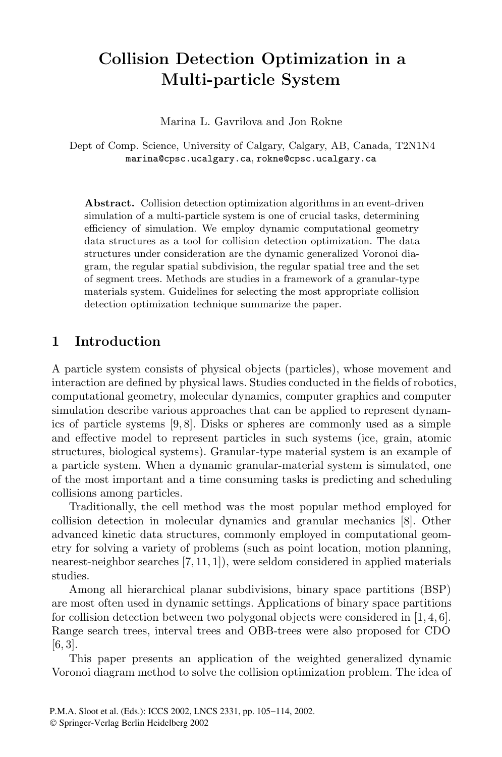# **Collision Detection Optimization in a Multi-particle System**

Marina L. Gavrilova and Jon Rokne

Dept of Comp. Science, University of Calgary, Calgary, AB, Canada, T2N1N4 marina@cpsc.ucalgary.ca, rokne@cpsc.ucalgary.ca

**Abstract.** Collision detection optimization algorithms in an event-driven simulation of a multi-particle system is one of crucial tasks, determining efficiency of simulation. We employ dynamic computational geometry data structures as a tool for collision detection optimization. The data structures under consideration are the dynamic generalized Voronoi diagram, the regular spatial subdivision, the regular spatial tree and the set of segment trees. Methods are studies in a framework of a granular-type materials system. Guidelines for selecting the most appropriate collision detection optimization technique summarize the paper.

# **1 Introduction**

A particle system consists of physical objects (particles), whose movement and interaction are defined by physical laws. Studies conducted in the fields of robotics, computational geometry, molecular dynamics, computer graphics and computer simulation describe various approaches that can be applied to represent dynamics of particle systems [9,8]. Disks or spheres are commonly used as a simple and effective model to represent particles in such systems (ice, grain, atomic structures, biological systems). Granular-type material system is an example of a particle system. When a dynamic granular-material system is simulated, one of the most important and a time consuming tasks is predicting and scheduling collisions among particles.

Traditionally, the cell method was the most popular method employed for collision detection in molecular dynamics and granular mechanics [8]. Other advanced kinetic data structures, commonly employed in computational geometry for solving a variety of problems (such as point location, motion planning, nearest-neighbor searches [7,11,1]), were seldom considered in applied materials studies.

Among all hierarchical planar subdivisions, binary space partitions (BSP) are most often used in dynamic settings. Applications of binary space partitions for collision detection between two polygonal objects were considered in  $[1, 4, 6]$ . Range search trees, interval trees and OBB-trees were also proposed for CDO [6, 3].

This paper presents an application of the weighted generalized dynamic Voronoi diagram method to solve the collision optimization problem. The idea of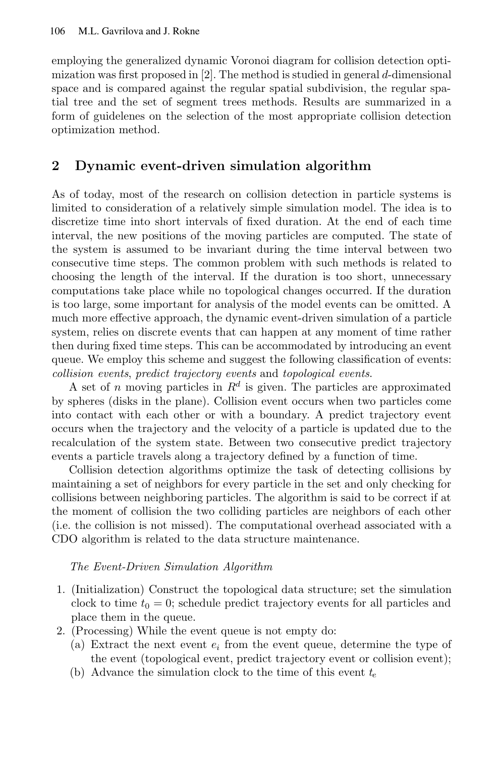employing the generalized dynamic Voronoi diagram for collision detection optimization was first proposedin [2]. The method is studied in general *d*-dimensional space and is compared against the regular spatial subdivision, the regular spatial tree and the set of segment trees methods. Results are summarized in a form of guidelenes on the selection of the most appropriate collision detection optimization method.

# **2 Dynamic event-driven simulation algorithm**

As of today, most of the research on collision detection in particle systems is limited to consideration of a relatively simple simulation model. The idea is to discretize time into short intervals of fixed duration. At the end of each time interval, the new positions of the moving particles are computed. The state of the system is assumed to be invariant during the time interval between two consecutive time steps. The common problem with such methods is related to choosing the length of the interval. If the duration is too short, unnecessary computations take place while no topological changes occurred. If the duration is too large, some important for analysis of the model events can be omitted. A much more effective approach, the dynamic event-driven simulation of a particle system, relies on discrete events that can happen at any moment of time rather then during fixed time steps. This can be accommodated by introducing an event queue. We employ this scheme and suggest the following classification of events: *collision events*, *predict trajectory events* and *topological events*.

A set of *n* moving particles in  $R^d$  is given. The particles are approximated by spheres (disks in the plane). Collision event occurs when two particles come into contact with each other or with a boundary. A predict trajectory event occurs when the trajectory and the velocity of a particle is updated due to the recalculation of the system state. Between two consecutive predict trajectory events a particle travels along a trajectory defined by a function of time.

Collision detection algorithms optimize the task of detecting collisions by maintaining a set of neighbors for every particle in the set and only checking for collisions between neighboring particles. The algorithm is said to be correct if at the moment of collision the two colliding particles are neighbors of each other (i.e. the collision is not missed). The computational overhead associated with a CDO algorithm is related to the data structure maintenance.

*The Event-Driven Simulation Algorithm*

- 1. (Initialization) Construct the topological data structure; set the simulation clock to time  $t_0 = 0$ ; schedule predict trajectory events for all particles and place them in the queue.
- 2. (Processing) While the event queue is not empty do:
	- (a) Extract the next event *e<sup>i</sup>* from the event queue, determine the type of the event (topological event, predict trajectory event or collision event);
	- (b) Advance the simulation clock to the time of this event *t<sup>e</sup>*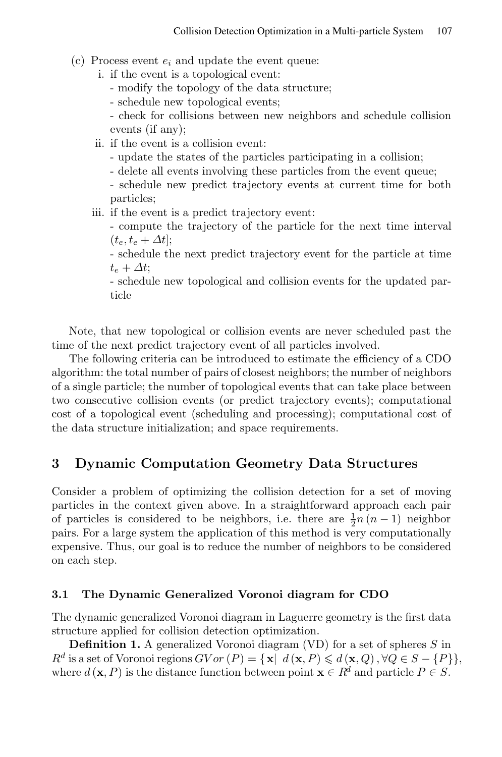- $(c)$  Process event  $e_i$  and update the event queue:
	- i. if the event is a topological event:
		- modify the topology of the data structure;
		- schedule new topological events;
		- check for collisions between new neighbors and schedule collision events (if any);
	- ii. if the event is a collision event:
		- update the states of the particles participating in a collision;
		- delete all events involving these particles from the event queue;
		- schedule new predict trajectory events at current time for both particles;
	- iii. if the event is a predict trajectory event:
		- compute the trajectory of the particle for the next time interval  $(t_e, t_e + \Delta t]$ ;
		- schedule the next predict trajectory event for the particle at time  $t_e + \Delta t$ ;

- schedule new topological and collision events for the updated particle

Note, that new topological or collision events are never scheduled past the time of the next predict trajectory event of all particles involved.

The following criteria can be introduced to estimate the efficiency of a CDO algorithm: the total number of pairs of closest neighbors; the number of neighbors of a single particle; the number of topological events that can take place between two consecutive collision events (or predict trajectory events); computational cost of a topological event (scheduling and processing); computational cost of the data structure initialization; and space requirements.

# **3 Dynamic Computation Geometry Data Structures**

Consider a problem of optimizing the collision detection for a set of moving particles in the context given above. In a straightforward approach each pair of particles is considered to be neighbors, i.e. there are  $\frac{1}{2}n(n-1)$  neighbor pairs. For a large system the application of this method is very computationally expensive. Thus, our goal is to reduce the number of neighbors to be considered on each step.

### **3.1 The Dynamic Generalized Voronoi diagram for CDO**

The dynamic generalized Voronoi diagram in Laguerre geometry is the first data structure applied for collision detection optimization.

**Definition 1.** A generalized Voronoi diagram (VD) for a set of spheres *S* in  $R^d$  is a set of Voronoi regions  $GVor(P) = {\mathbf{x} | d(\mathbf{x}, P) \leq d(\mathbf{x}, Q), \forall Q \in S - {P}}$ , where  $d(\mathbf{x}, P)$  is the distance function between point  $\mathbf{x} \in R^d$  and particle  $P \in S$ .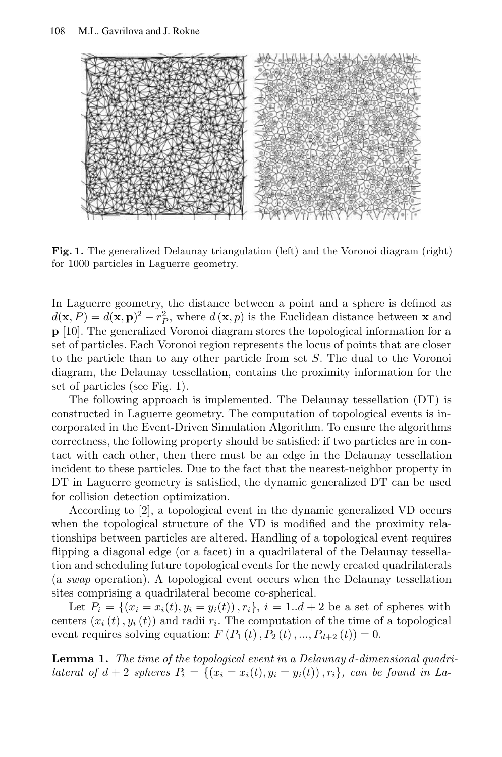

**Fig. 1.** The generalized Delaunay triangulation (left) and the Voronoi diagram (right) for 1000 particles in Laguerre geometry.

In Laguerre geometry, the distance between a point and a sphere is defined as  $d(\mathbf{x}, P) = d(\mathbf{x}, \mathbf{p})^2 - r_P^2$ , where  $d(\mathbf{x}, p)$  is the Euclidean distance between **x** and **p** [10]. The generalized Voronoi diagram stores the topological information for a set of particles. Each Voronoi region represents the locus of points that are closer to the particle than to any other particle from set *S*. The dual to the Voronoi diagram, the Delaunay tessellation, contains the proximity information for the set of particles (see Fig. 1).

The following approach is implemented. The Delaunay tessellation (DT) is constructed in Laguerre geometry. The computation of topological events is incorporated in the Event-Driven Simulation Algorithm. To ensure the algorithms correctness, the following property should be satisfied: if two particles are in contact with each other, then there must be an edge in the Delaunay tessellation incident to these particles. Due to the fact that the nearest-neighbor property in DT in Laguerre geometry is satisfied, the dynamic generalized DT can be used for collision detection optimization.

According to [2], a topological event in the dynamic generalized VD occurs when the topological structure of the VD is modified and the proximity relationships between particles are altered. Handling of a topological event requires flipping a diagonal edge (or a facet) in a quadrilateral of the Delaunay tessellation and scheduling future topological events for the newly created quadrilaterals (a *swap* operation). A topological event occurs when the Delaunay tessellation sites comprising a quadrilateral become co-spherical.

Let  $P_i = \{(x_i = x_i(t), y_i = y_i(t)), r_i\}, i = 1..d+2$  be a set of spheres with centers  $(x_i(t), y_i(t))$  and radii  $r_i$ . The computation of the time of a topological event requires solving equation:  $F(P_1(t), P_2(t), ..., P_{d+2}(t)) = 0.$ 

**Lemma 1.** *The time of the topological event in a Delaunay d-dimensional quadri*lateral of  $d+2$  spheres  $P_i = \{(x_i = x_i(t), y_i = y_i(t)), r_i\}$ , can be found in La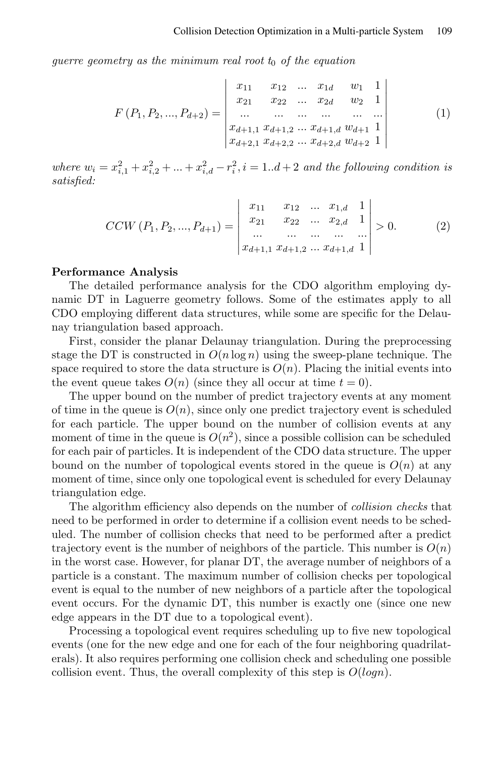*guerre geometry as the minimum real root t*<sup>0</sup> *of the equation*

$$
F(P_1, P_2, ..., P_{d+2}) = \begin{vmatrix} x_{11} & x_{12} & \dots & x_{1d} & w_1 & 1 \\ x_{21} & x_{22} & \dots & x_{2d} & w_2 & 1 \\ \dots & \dots & \dots & \dots & \dots \\ x_{d+1,1} & x_{d+1,2} & \dots & x_{d+1,d} & w_{d+1} & 1 \\ x_{d+2,1} & x_{d+2,2} & \dots & x_{d+2,d} & w_{d+2} & 1 \end{vmatrix}
$$
 (1)

where  $w_i = x_{i,1}^2 + x_{i,2}^2 + ... + x_{i,d}^2 - r_i^2$ ,  $i = 1..d+2$  and the following condition is *satisfied:*

$$
CCW(P_1, P_2, ..., P_{d+1}) = \begin{vmatrix} x_{11} & x_{12} & ... & x_{1,d} & 1 \\ x_{21} & x_{22} & ... & x_{2,d} & 1 \\ ... & ... & ... & ... & ... \\ x_{d+1,1} & x_{d+1,2} & ... & x_{d+1,d} & 1 \end{vmatrix} > 0.
$$
 (2)

#### **Performance Analysis**

The detailed performance analysis for the CDO algorithm employing dynamic DT in Laguerre geometry follows. Some of the estimates apply to all CDO employing different data structures, while some are specific for the Delaunay triangulation based approach.

First, consider the planar Delaunay triangulation. During the preprocessing stage the DT is constructed in  $O(n \log n)$  using the sweep-plane technique. The space required to store the data structure is  $O(n)$ . Placing the initial events into the event queue takes  $O(n)$  (since they all occur at time  $t = 0$ ).

The upper bound on the number of predict trajectory events at any moment of time in the queue is  $O(n)$ , since only one predict trajectory event is scheduled for each particle. The upper bound on the number of collision events at any moment of time in the queue is  $O(n^2)$ , since a possible collision can be scheduled for each pair of particles. It is independent of the CDO data structure. The upper bound on the number of topological events stored in the queue is  $O(n)$  at any moment of time, since only one topological event is scheduled for every Delaunay triangulation edge.

The algorithm efficiency also depends on the number of *collision checks* that need to be performed in order to determine if a collision event needs to be scheduled. The number of collision checks that need to be performed after a predict trajectory event is the number of neighbors of the particle. This number is  $O(n)$ in the worst case. However, for planar DT, the average number of neighbors of a particle is a constant. The maximum number of collision checks per topological event is equal to the number of new neighbors of a particle after the topological event occurs. For the dynamic DT, this number is exactly one (since one new edge appears in the DT due to a topological event).

Processing a topological event requires scheduling up to five new topological events (one for the new edge and one for each of the four neighboring quadrilaterals). It also requires performing one collision check and scheduling one possible collision event. Thus, the overall complexity of this step is *O*(*logn*).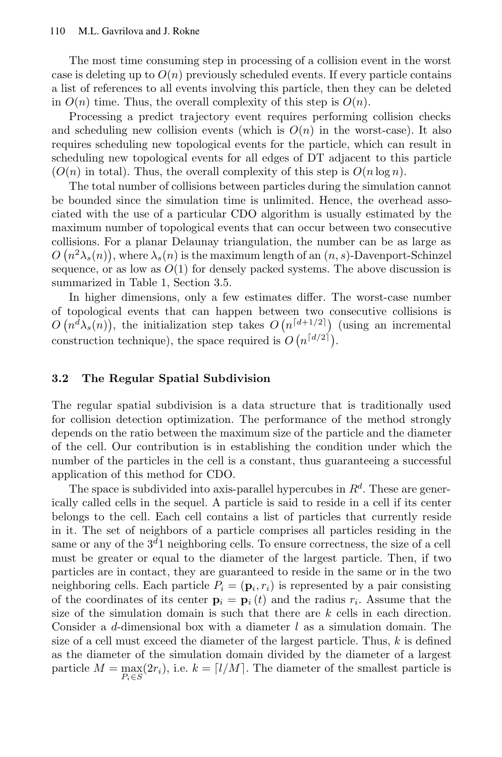The most time consuming step in processing of a collision event in the worst case is deleting up to  $O(n)$  previously scheduled events. If every particle contains a list of references to all events involving this particle, then they can be deleted in  $O(n)$  time. Thus, the overall complexity of this step is  $O(n)$ .

Processing a predict trajectory event requires performing collision checks and scheduling new collision events (which is  $O(n)$  in the worst-case). It also requires scheduling new topological events for the particle, which can result in scheduling new topological events for all edges of DT adjacent to this particle  $(O(n)$  in total). Thus, the overall complexity of this step is  $O(n \log n)$ .

The total number of collisions between particles during the simulation cannot be bounded since the simulation time is unlimited. Hence, the overhead associated with the use of a particular CDO algorithm is usually estimated by the maximum number of topological events that can occur between two consecutive collisions. For a planar Delaunay triangulation, the number can be as large as  $O(n^2\lambda_s(n))$ , where  $\lambda_s(n)$  is the maximum length of an  $(n, s)$ -Davenport-Schinzel sequence, or as low as  $O(1)$  for densely packed systems. The above discussion is summarized in Table 1, Section 3.5.

In higher dimensions, only a few estimates differ. The worst-case number of topological events that can happen between two consecutive collisions is  $O(n^{d} \lambda_s(n))$ , the initialization step takes  $O(n^{d+1/2})$  (using an incremental construction technique), the space required is  $O(n^{\lceil d/2 \rceil})$ .

### **3.2 The Regular Spatial Subdivision**

The regular spatial subdivision is a data structure that is traditionally used for collision detection optimization. The performance of the method strongly depends on the ratio between the maximum size of the particle and the diameter of the cell. Our contribution is in establishing the condition under which the number of the particles in the cell is a constant, thus guaranteeing a successful application of this method for CDO.

The space is subdivided into axis-parallel hypercubes in *R<sup>d</sup>* . These are generically called cells in the sequel. A particle is said to reside in a cell if its center belongs to the cell. Each cell contains a list of particles that currently reside in it. The set of neighbors of a particle comprises all particles residing in the same or any of the 3 *<sup>d</sup>*1 neighboring cells. To ensure correctness, the size of a cell must be greater or equal to the diameter of the largest particle. Then, if two particles are in contact, they are guaranteed to reside in the same or in the two neighboring cells. Each particle  $P_i = (\mathbf{p}_i, r_i)$  is represented by a pair consisting of the coordinates of its center  $\mathbf{p}_i = \mathbf{p}_i(t)$  and the radius  $r_i$ . Assume that the size of the simulation domain is such that there are *k* cells in each direction. Consider a *d*-dimensional box with a diameter *l* as a simulation domain. The size of a cell must exceed the diameter of the largest particle. Thus, *k* is defined as the diameter of the simulation domain divided by the diameter of a largest particle  $M = \max_{P_i \in S} (2r_i)$ , i.e.  $k = \lfloor l/M \rfloor$ . The diameter of the smallest particle is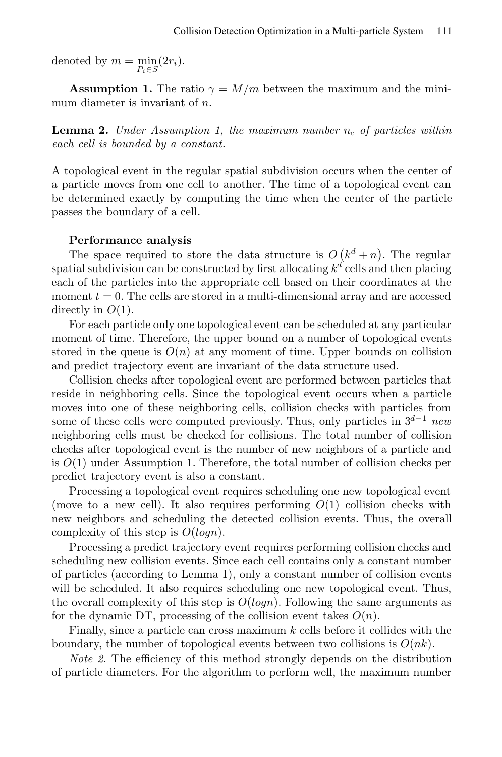denoted by  $m = \min$  $\min_{P_i \in S} (2r_i).$ 

**Assumption 1.** The ratio  $\gamma = M/m$  between the maximum and the minimum diameter is invariant of *n*.

**Lemma 2.** *Under Assumption 1, the maximum number n<sup>c</sup> of particles within each cell is bounded by a constant.*

A topological event in the regular spatial subdivision occurs when the center of a particle moves from one cell to another. The time of a topological event can be determined exactly by computing the time when the center of the particle passes the boundary of a cell.

#### **Performance analysis**

The space required to store the data structure is  $O(k^d + n)$ . The regular spatial subdivision can be constructed by first allocating *k d* cells and then placing each of the particles into the appropriate cell based on their coordinates at the moment  $t = 0$ . The cells are stored in a multi-dimensional array and are accessed directly in *O*(1).

For each particle only one topological event can be scheduled at anyparticular moment of time. Therefore, the upper bound on a number of topological events stored in the queue is  $O(n)$  at any moment of time. Upper bounds on collision and predict trajectory event are invariant of the data structure used.

Collision checks after topological event are performed between particles that reside in neighboring cells. Since the topological event occurs when a particle moves into one of these neighboring cells, collision checks with particles from some of these cells were computed previously. Thus, only particles in 3 *<sup>d</sup>−*<sup>1</sup> *new* neighboring cells must be checked for collisions. The total number of collision checks after topological event is the number of new neighbors of a particle and is  $O(1)$  under Assumption 1. Therefore, the total number of collision checks per predict trajectory event is also a constant.

Processing a topological event requires scheduling one new topological event (move to a new cell). It also requires performing  $O(1)$  collision checks with new neighbors and scheduling the detected collision events. Thus, the overall complexity of this step is *O*(*logn*).

Processing a predict trajectory event requires performing collision checks and scheduling new collision events. Since each cell contains only a constant number of particles (according to Lemma 1), only a constant number of collision events will be scheduled. It also requires scheduling one new topological event. Thus, the overall complexity of this step is *O*(*logn*). Following the same arguments as for the dynamic DT, processing of the collision event takes  $O(n)$ .

Finally, since a particle can cross maximum *k* cells before it collides with the boundary, the number of topological events between two collisions is *O*(*nk*).

*Note* 2. The efficiency of this method strongly depends on the distribution of particle diameters. For the algorithm to perform well, the maximum number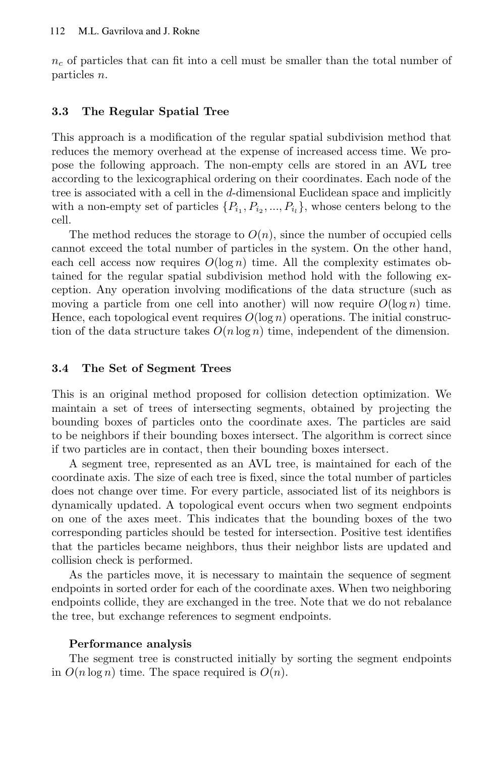$n_c$  of particles that can fit into a cell must be smaller than the total number of particles *n*.

## **3.3 The Regular Spatial Tree**

This approach is a modification of the regular spatial subdivision method that reduces the memory overhead at the expense of increased access time. We propose the following approach. The non-empty cells are stored in an AVL tree according to the lexicographical ordering on their coordinates. Each node of the tree is associated with a cell in the *d*-dimensional Euclidean space and implicitly with a non-empty set of particles  $\{P_{i_1}, P_{i_2}, ..., P_{i_l}\}$ , whose centers belong to the cell.

The method reduces the storage to  $O(n)$ , since the number of occupied cells cannot exceed the total number of particles in the system. On the other hand, each cell access now requires  $O(\log n)$  time. All the complexity estimates obtained for the regular spatial subdivision method hold with the following exception. Any operation involving modifications of the data structure (such as moving a particle from one cell into another) will now require  $O(\log n)$  time. Hence, each topological event requires  $O(\log n)$  operations. The initial construction of the data structure takes  $O(n \log n)$  time, independent of the dimension.

### **3.4 The Set of Segment Trees**

This is an original method proposed for collision detection optimization. We maintain a set of trees of intersecting segments, obtained by projecting the bounding boxes of particles onto the coordinate axes. The particles are said to be neighbors if their bounding boxes intersect. The algorithm is correct since if two particles are in contact, then their bounding boxes intersect.

A segment tree, represented as an AVL tree, is maintained for each of the coordinate axis. The size of each tree is fixed, since the total number of particles does not change over time. For every particle, associated list of its neighbors is dynamically updated. A topological event occurs when two segment endpoints on one of the axes meet. This indicates that the bounding boxes of the two corresponding particles should be tested for intersection. Positive test identifies that the particles became neighbors, thus their neighbor lists are updated and collision check is performed.

As the particles move, it is necessary to maintain the sequence of segment endpoints in sorted order for each of the coordinate axes. When two neighboring endpoints collide, they are exchanged in the tree. Note that we do not rebalance the tree, but exchange references to segment endpoints.

### **Performance analysis**

The segment tree is constructed initially by sorting the segment endpoints in  $O(n \log n)$  time. The space required is  $O(n)$ .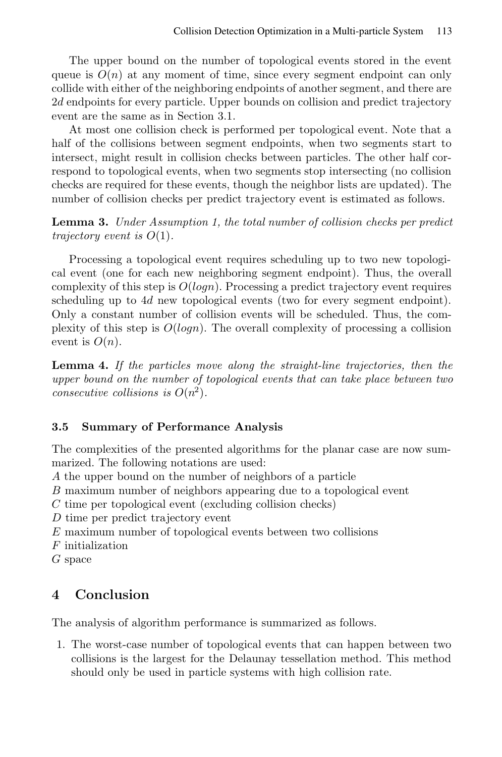The upper bound on the number of topological events stored in the event queue is  $O(n)$  at any moment of time, since every segment endpoint can only collide with either of the neighboring endpoints of another segment, and there are 2*d* endpoints for every particle. Upper bounds on collision and predict trajectory event are the same as in Section 3.1.

At most one collision check is performed per topological event. Note that a half of the collisions between segment endpoints, when two segments start to intersect, might result in collision checks between particles. The other half correspond to topological events, when two segments stop intersecting (no collision checks are required for these events, though the neighbor lists are updated). The number of collision checks per predict trajectory event is estimated as follows.

**Lemma 3.** *Under Assumption 1, the total number of collision checks per predict trajectory event is O*(1)*.*

Processing a topological event requires scheduling up to two new topological event (one for each new neighboring segment endpoint). Thus, the overall complexity of this step is *O*(*logn*). Processing a predict trajectory event requires scheduling up to 4*d* new topological events (two for every segment endpoint). Only a constant number of collision events will be scheduled. Thus, the complexity of this step is *O*(*logn*). The overall complexity of processing a collision event is  $O(n)$ .

**Lemma 4.** *If the particles move along the straight-line trajectories, then the upper bound on the number of topological events that can take place between two consecutive collisions is*  $O(n^2)$ *.* 

# **3.5 Summary of Performance Analysis**

The complexities of the presented algorithms for the planar case are now summarized. The following notations are used:

*A* the upper bound on the number of neighbors of a particle

*B* maximum number of neighbors appearing due to a topological event

*C* time per topological event (excluding collision checks)

*D* time per predict trajectory event

*E* maximum number of topological events between two collisions

*F* initialization

*G* space

# **4 Conclusion**

The analysis of algorithm performance is summarized as follows.

1. The worst-case number of topological events that can happen between two collisions is the largest for the Delaunay tessellation method. This method should only be used in particle systems with high collision rate.